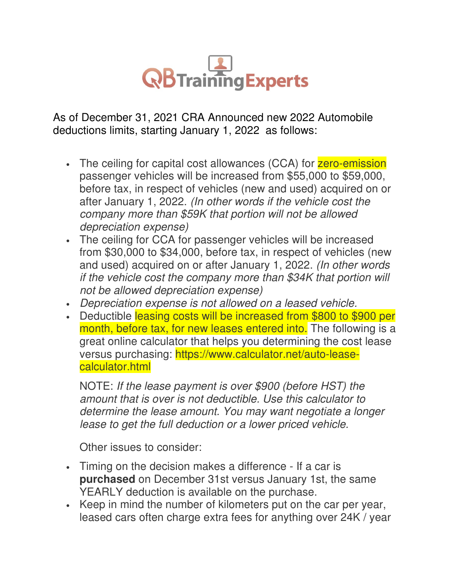

As of December 31, 2021 CRA Announced new 2022 Automobile deductions limits, starting January 1, 2022 as follows:

- The ceiling for capital cost allowances (CCA) for zero-emission passenger vehicles will be increased from \$55,000 to \$59,000, before tax, in respect of vehicles (new and used) acquired on or after January 1, 2022. (In other words if the vehicle cost the company more than \$59K that portion will not be allowed depreciation expense)
- The ceiling for CCA for passenger vehicles will be increased from \$30,000 to \$34,000, before tax, in respect of vehicles (new and used) acquired on or after January 1, 2022. (In other words if the vehicle cost the company more than \$34K that portion will not be allowed depreciation expense)
- Depreciation expense is not allowed on a leased vehicle.
- Deductible leasing costs will be increased from \$800 to \$900 per month, before tax, for new leases entered into. The following is a great online calculator that helps you determining the cost lease versus purchasing: https://www.calculator.net/auto-leasecalculator.html

NOTE: If the lease payment is over \$900 (before HST) the amount that is over is not deductible. Use this calculator to determine the lease amount. You may want negotiate a longer lease to get the full deduction or a lower priced vehicle.

Other issues to consider:

- Timing on the decision makes a difference If a car is **purchased** on December 31st versus January 1st, the same YEARLY deduction is available on the purchase.
- Keep in mind the number of kilometers put on the car per year, leased cars often charge extra fees for anything over 24K / year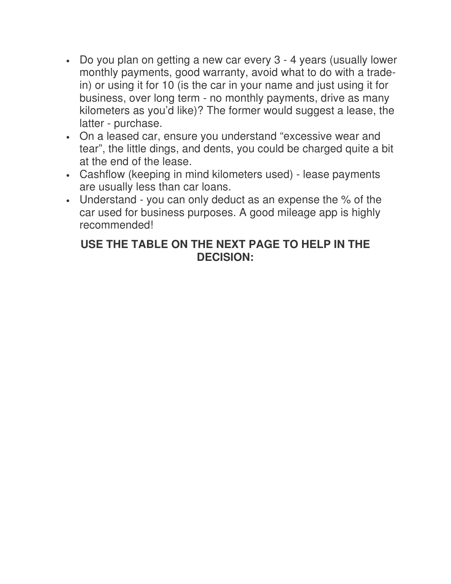- Do you plan on getting a new car every 3 4 years (usually lower monthly payments, good warranty, avoid what to do with a tradein) or using it for 10 (is the car in your name and just using it for business, over long term - no monthly payments, drive as many kilometers as you'd like)? The former would suggest a lease, the latter - purchase.
- On a leased car, ensure you understand "excessive wear and tear", the little dings, and dents, you could be charged quite a bit at the end of the lease.
- Cashflow (keeping in mind kilometers used) lease payments are usually less than car loans.
- Understand you can only deduct as an expense the % of the car used for business purposes. A good mileage app is highly recommended!

## **USE THE TABLE ON THE NEXT PAGE TO HELP IN THE DECISION:**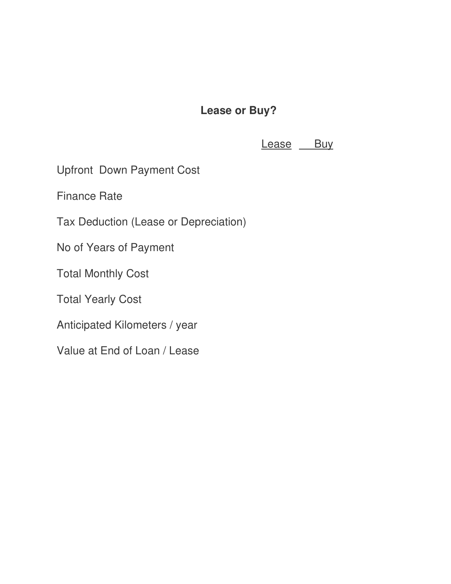## **Lease or Buy?**

Lease Buy

Upfront Down Payment Cost

Finance Rate

Tax Deduction (Lease or Depreciation)

No of Years of Payment

Total Monthly Cost

Total Yearly Cost

Anticipated Kilometers / year

Value at End of Loan / Lease